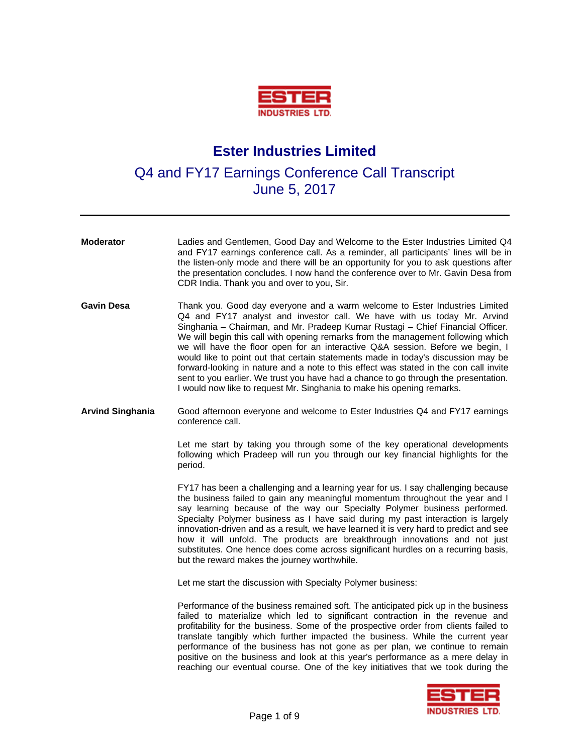

## **Ester Industries Limited**

Q4 and FY17 Earnings Conference Call Transcript June 5, 2017

| <b>Moderator</b>        | Ladies and Gentlemen, Good Day and Welcome to the Ester Industries Limited Q4<br>and FY17 earnings conference call. As a reminder, all participants' lines will be in<br>the listen-only mode and there will be an opportunity for you to ask questions after<br>the presentation concludes. I now hand the conference over to Mr. Gavin Desa from<br>CDR India. Thank you and over to you, Sir.                                                                                                                                                                                                                                                                                                                                                              |
|-------------------------|---------------------------------------------------------------------------------------------------------------------------------------------------------------------------------------------------------------------------------------------------------------------------------------------------------------------------------------------------------------------------------------------------------------------------------------------------------------------------------------------------------------------------------------------------------------------------------------------------------------------------------------------------------------------------------------------------------------------------------------------------------------|
| <b>Gavin Desa</b>       | Thank you. Good day everyone and a warm welcome to Ester Industries Limited<br>Q4 and FY17 analyst and investor call. We have with us today Mr. Arvind<br>Singhania - Chairman, and Mr. Pradeep Kumar Rustagi - Chief Financial Officer.<br>We will begin this call with opening remarks from the management following which<br>we will have the floor open for an interactive Q&A session. Before we begin, I<br>would like to point out that certain statements made in today's discussion may be<br>forward-looking in nature and a note to this effect was stated in the con call invite<br>sent to you earlier. We trust you have had a chance to go through the presentation.<br>I would now like to request Mr. Singhania to make his opening remarks. |
| <b>Arvind Singhania</b> | Good afternoon everyone and welcome to Ester Industries Q4 and FY17 earnings<br>conference call.                                                                                                                                                                                                                                                                                                                                                                                                                                                                                                                                                                                                                                                              |
|                         | Let me start by taking you through some of the key operational developments<br>following which Pradeep will run you through our key financial highlights for the<br>period.                                                                                                                                                                                                                                                                                                                                                                                                                                                                                                                                                                                   |
|                         | FY17 has been a challenging and a learning year for us. I say challenging because<br>the business failed to gain any meaningful momentum throughout the year and I<br>say learning because of the way our Specialty Polymer business performed.<br>Specialty Polymer business as I have said during my past interaction is largely<br>innovation-driven and as a result, we have learned it is very hard to predict and see<br>how it will unfold. The products are breakthrough innovations and not just<br>substitutes. One hence does come across significant hurdles on a recurring basis,<br>but the reward makes the journey worthwhile.                                                                                                                |
|                         | Let me start the discussion with Specialty Polymer business:                                                                                                                                                                                                                                                                                                                                                                                                                                                                                                                                                                                                                                                                                                  |
|                         | Performance of the business remained soft. The anticipated pick up in the business<br>failed to materialize which led to significant contraction in the revenue and<br>profitability for the business. Some of the prospective order from clients failed to<br>translate tangibly which further impacted the business. While the current year<br>performance of the business has not gone as per plan, we continue to remain<br>positive on the business and look at this year's performance as a mere delay in<br>reaching our eventual course. One of the key initiatives that we took during the                                                                                                                                                           |
|                         | _____                                                                                                                                                                                                                                                                                                                                                                                                                                                                                                                                                                                                                                                                                                                                                         |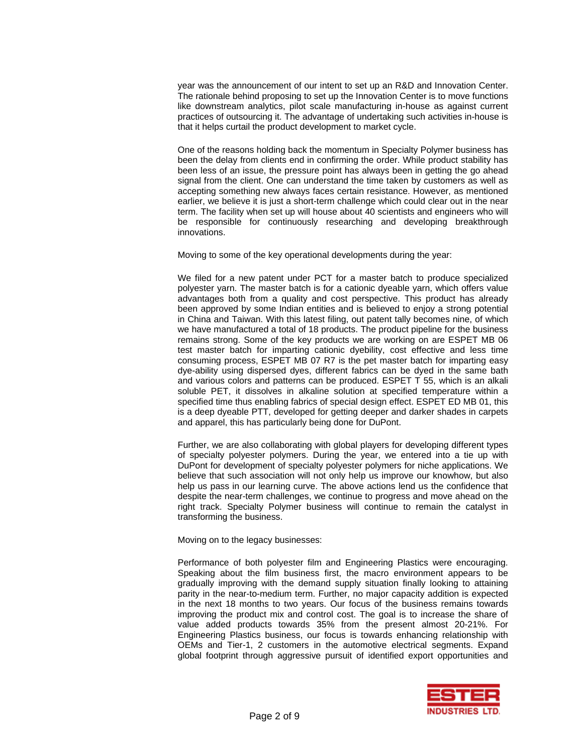year was the announcement of our intent to set up an R&D and Innovation Center. The rationale behind proposing to set up the Innovation Center is to move functions like downstream analytics, pilot scale manufacturing in-house as against current practices of outsourcing it. The advantage of undertaking such activities in-house is that it helps curtail the product development to market cycle.

One of the reasons holding back the momentum in Specialty Polymer business has been the delay from clients end in confirming the order. While product stability has been less of an issue, the pressure point has always been in getting the go ahead signal from the client. One can understand the time taken by customers as well as accepting something new always faces certain resistance. However, as mentioned earlier, we believe it is just a short-term challenge which could clear out in the near term. The facility when set up will house about 40 scientists and engineers who will be responsible for continuously researching and developing breakthrough innovations.

Moving to some of the key operational developments during the year:

We filed for a new patent under PCT for a master batch to produce specialized polyester yarn. The master batch is for a cationic dyeable yarn, which offers value advantages both from a quality and cost perspective. This product has already been approved by some Indian entities and is believed to enjoy a strong potential in China and Taiwan. With this latest filing, out patent tally becomes nine, of which we have manufactured a total of 18 products. The product pipeline for the business remains strong. Some of the key products we are working on are ESPET MB 06 test master batch for imparting cationic dyebility, cost effective and less time consuming process, ESPET MB 07 R7 is the pet master batch for imparting easy dye-ability using dispersed dyes, different fabrics can be dyed in the same bath and various colors and patterns can be produced. ESPET T 55, which is an alkali soluble PET, it dissolves in alkaline solution at specified temperature within a specified time thus enabling fabrics of special design effect. ESPET ED MB 01, this is a deep dyeable PTT, developed for getting deeper and darker shades in carpets and apparel, this has particularly being done for DuPont.

Further, we are also collaborating with global players for developing different types of specialty polyester polymers. During the year, we entered into a tie up with DuPont for development of specialty polyester polymers for niche applications. We believe that such association will not only help us improve our knowhow, but also help us pass in our learning curve. The above actions lend us the confidence that despite the near-term challenges, we continue to progress and move ahead on the right track. Specialty Polymer business will continue to remain the catalyst in transforming the business.

Moving on to the legacy businesses:

Performance of both polyester film and Engineering Plastics were encouraging. Speaking about the film business first, the macro environment appears to be gradually improving with the demand supply situation finally looking to attaining parity in the near-to-medium term. Further, no major capacity addition is expected in the next 18 months to two years. Our focus of the business remains towards improving the product mix and control cost. The goal is to increase the share of value added products towards 35% from the present almost 20-21%. For Engineering Plastics business, our focus is towards enhancing relationship with OEMs and Tier-1, 2 customers in the automotive electrical segments. Expand global footprint through aggressive pursuit of identified export opportunities and

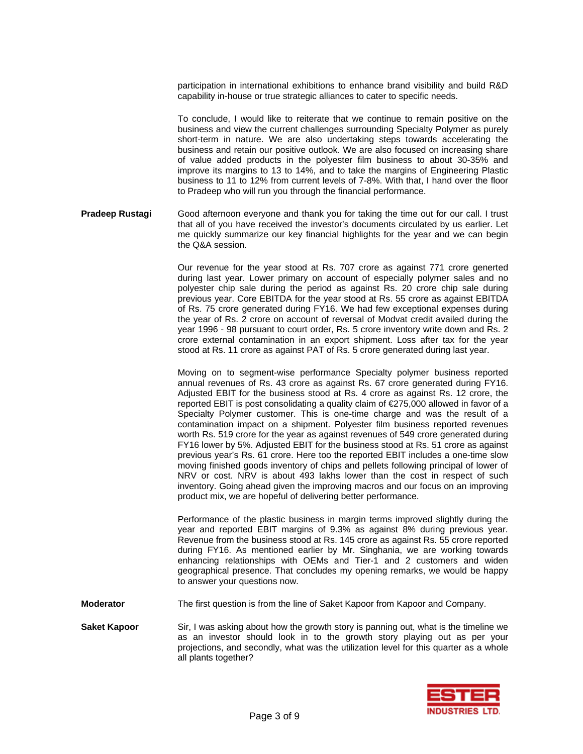participation in international exhibitions to enhance brand visibility and build R&D capability in-house or true strategic alliances to cater to specific needs.

To conclude, I would like to reiterate that we continue to remain positive on the business and view the current challenges surrounding Specialty Polymer as purely short-term in nature. We are also undertaking steps towards accelerating the business and retain our positive outlook. We are also focused on increasing share of value added products in the polyester film business to about 30-35% and improve its margins to 13 to 14%, and to take the margins of Engineering Plastic business to 11 to 12% from current levels of 7-8%. With that, I hand over the floor to Pradeep who will run you through the financial performance.

**Pradeep Rustagi** Good afternoon everyone and thank you for taking the time out for our call. I trust that all of you have received the investor's documents circulated by us earlier. Let me quickly summarize our key financial highlights for the year and we can begin the Q&A session.

> Our revenue for the year stood at Rs. 707 crore as against 771 crore generted during last year. Lower primary on account of especially polymer sales and no polyester chip sale during the period as against Rs. 20 crore chip sale during previous year. Core EBITDA for the year stood at Rs. 55 crore as against EBITDA of Rs. 75 crore generated during FY16. We had few exceptional expenses during the year of Rs. 2 crore on account of reversal of Modvat credit availed during the year 1996 - 98 pursuant to court order, Rs. 5 crore inventory write down and Rs. 2 crore external contamination in an export shipment. Loss after tax for the year stood at Rs. 11 crore as against PAT of Rs. 5 crore generated during last year.

> Moving on to segment-wise performance Specialty polymer business reported annual revenues of Rs. 43 crore as against Rs. 67 crore generated during FY16. Adjusted EBIT for the business stood at Rs. 4 crore as against Rs. 12 crore, the reported EBIT is post consolidating a quality claim of €275,000 allowed in favor of a Specialty Polymer customer. This is one-time charge and was the result of a contamination impact on a shipment. Polyester film business reported revenues worth Rs. 519 crore for the year as against revenues of 549 crore generated during FY16 lower by 5%. Adjusted EBIT for the business stood at Rs. 51 crore as against previous year's Rs. 61 crore. Here too the reported EBIT includes a one-time slow moving finished goods inventory of chips and pellets following principal of lower of NRV or cost. NRV is about 493 lakhs lower than the cost in respect of such inventory. Going ahead given the improving macros and our focus on an improving product mix, we are hopeful of delivering better performance.

> Performance of the plastic business in margin terms improved slightly during the year and reported EBIT margins of 9.3% as against 8% during previous year. Revenue from the business stood at Rs. 145 crore as against Rs. 55 crore reported during FY16. As mentioned earlier by Mr. Singhania, we are working towards enhancing relationships with OEMs and Tier-1 and 2 customers and widen geographical presence. That concludes my opening remarks, we would be happy to answer your questions now.

**Moderator** The first question is from the line of Saket Kapoor from Kapoor and Company.

**Saket Kapoor** Sir, I was asking about how the growth story is panning out, what is the timeline we as an investor should look in to the growth story playing out as per your projections, and secondly, what was the utilization level for this quarter as a whole all plants together?

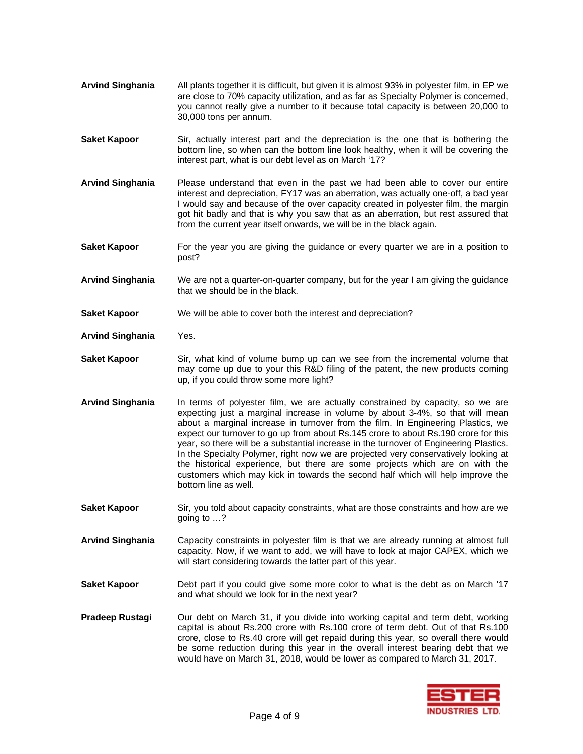- **Arvind Singhania** All plants together it is difficult, but given it is almost 93% in polyester film, in EP we are close to 70% capacity utilization, and as far as Specialty Polymer is concerned, you cannot really give a number to it because total capacity is between 20,000 to 30,000 tons per annum.
- **Saket Kapoor** Sir, actually interest part and the depreciation is the one that is bothering the bottom line, so when can the bottom line look healthy, when it will be covering the interest part, what is our debt level as on March '17?
- **Arvind Singhania** Please understand that even in the past we had been able to cover our entire interest and depreciation, FY17 was an aberration, was actually one-off, a bad year I would say and because of the over capacity created in polyester film, the margin got hit badly and that is why you saw that as an aberration, but rest assured that from the current year itself onwards, we will be in the black again.
- **Saket Kapoor** For the year you are giving the guidance or every quarter we are in a position to post?
- **Arvind Singhania** We are not a quarter-on-quarter company, but for the year I am giving the guidance that we should be in the black.
- **Saket Kapoor** We will be able to cover both the interest and depreciation?
- **Arvind Singhania** Yes.
- **Saket Kapoor** Sir, what kind of volume bump up can we see from the incremental volume that may come up due to your this R&D filing of the patent, the new products coming up, if you could throw some more light?
- **Arvind Singhania** In terms of polyester film, we are actually constrained by capacity, so we are expecting just a marginal increase in volume by about 3-4%, so that will mean about a marginal increase in turnover from the film. In Engineering Plastics, we expect our turnover to go up from about Rs.145 crore to about Rs.190 crore for this year, so there will be a substantial increase in the turnover of Engineering Plastics. In the Specialty Polymer, right now we are projected very conservatively looking at the historical experience, but there are some projects which are on with the customers which may kick in towards the second half which will help improve the bottom line as well.
- **Saket Kapoor** Sir, you told about capacity constraints, what are those constraints and how are we going to …?
- **Arvind Singhania** Capacity constraints in polyester film is that we are already running at almost full capacity. Now, if we want to add, we will have to look at major CAPEX, which we will start considering towards the latter part of this year.
- **Saket Kapoor** Debt part if you could give some more color to what is the debt as on March '17 and what should we look for in the next year?
- **Pradeep Rustagi** Our debt on March 31, if you divide into working capital and term debt, working capital is about Rs.200 crore with Rs.100 crore of term debt. Out of that Rs.100 crore, close to Rs.40 crore will get repaid during this year, so overall there would be some reduction during this year in the overall interest bearing debt that we would have on March 31, 2018, would be lower as compared to March 31, 2017.

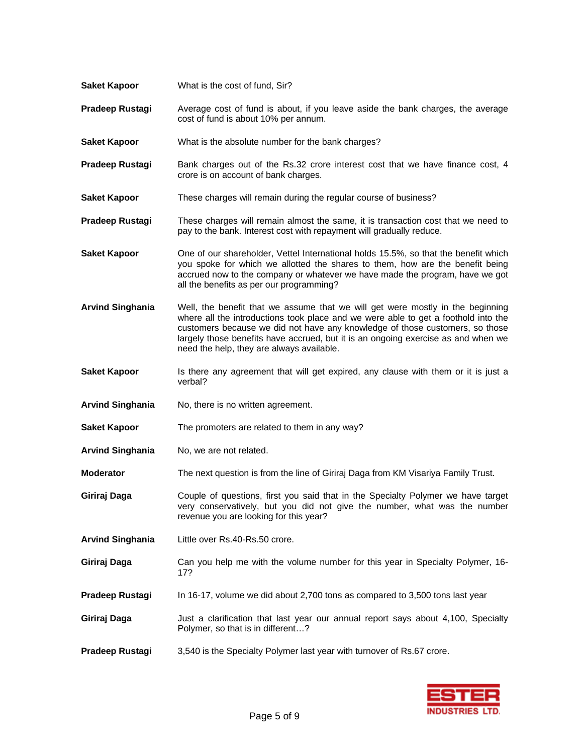**Saket Kapoor** What is the absolute number for the bank charges? Pradeep Rustagi Bank charges out of the Rs.32 crore interest cost that we have finance cost, 4 crore is on account of bank charges. **Saket Kapoor** These charges will remain during the regular course of business? **Pradeep Rustagi** These charges will remain almost the same, it is transaction cost that we need to pay to the bank. Interest cost with repayment will gradually reduce. **Saket Kapoor One of our shareholder, Vettel International holds 15.5%, so that the benefit which** you spoke for which we allotted the shares to them, how are the benefit being accrued now to the company or whatever we have made the program, have we got all the benefits as per our programming? **Arvind Singhania** Well, the benefit that we assume that we will get were mostly in the beginning where all the introductions took place and we were able to get a foothold into the customers because we did not have any knowledge of those customers, so those largely those benefits have accrued, but it is an ongoing exercise as and when we need the help, they are always available. **Saket Kapoor** Is there any agreement that will get expired, any clause with them or it is just a verbal? **Arvind Singhania** No, there is no written agreement. **Saket Kapoor** The promoters are related to them in any way? Arvind Singhania No, we are not related. **Moderator** The next question is from the line of Giriraj Daga from KM Visariya Family Trust. **Giriraj Daga** Couple of questions, first you said that in the Specialty Polymer we have target very conservatively, but you did not give the number, what was the number revenue you are looking for this year? **Arvind Singhania** Little over Rs.40-Rs.50 crore. **Giriraj Daga** Can you help me with the volume number for this year in Specialty Polymer, 16- 17? **Pradeep Rustagi** In 16-17, volume we did about 2,700 tons as compared to 3,500 tons last year **Giriraj Daga** Just a clarification that last year our annual report says about 4,100, Specialty Polymer, so that is in different…? **Pradeep Rustagi** 3,540 is the Specialty Polymer last year with turnover of Rs.67 crore.

**Pradeep Rustagi** Average cost of fund is about, if you leave aside the bank charges, the average

cost of fund is about 10% per annum.

**Saket Kapoor** What is the cost of fund, Sir?

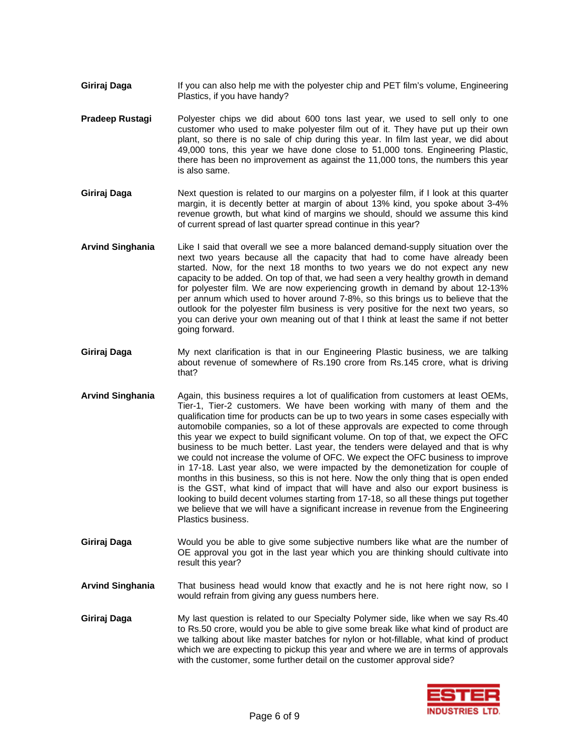- **Giriraj Daga** If you can also help me with the polyester chip and PET film's volume, Engineering Plastics, if you have handy?
- Pradeep Rustagi Polyester chips we did about 600 tons last year, we used to sell only to one customer who used to make polyester film out of it. They have put up their own plant, so there is no sale of chip during this year. In film last year, we did about 49,000 tons, this year we have done close to 51,000 tons. Engineering Plastic, there has been no improvement as against the 11,000 tons, the numbers this year is also same.
- **Giriraj Daga** Next question is related to our margins on a polyester film, if I look at this quarter margin, it is decently better at margin of about 13% kind, you spoke about 3-4% revenue growth, but what kind of margins we should, should we assume this kind of current spread of last quarter spread continue in this year?
- **Arvind Singhania** Like I said that overall we see a more balanced demand-supply situation over the next two years because all the capacity that had to come have already been started. Now, for the next 18 months to two years we do not expect any new capacity to be added. On top of that, we had seen a very healthy growth in demand for polyester film. We are now experiencing growth in demand by about 12-13% per annum which used to hover around 7-8%, so this brings us to believe that the outlook for the polyester film business is very positive for the next two years, so you can derive your own meaning out of that I think at least the same if not better going forward.
- **Giriraj Daga** My next clarification is that in our Engineering Plastic business, we are talking about revenue of somewhere of Rs.190 crore from Rs.145 crore, what is driving that?
- **Arvind Singhania** Again, this business requires a lot of qualification from customers at least OEMs, Tier-1, Tier-2 customers. We have been working with many of them and the qualification time for products can be up to two years in some cases especially with automobile companies, so a lot of these approvals are expected to come through this year we expect to build significant volume. On top of that, we expect the OFC business to be much better. Last year, the tenders were delayed and that is why we could not increase the volume of OFC. We expect the OFC business to improve in 17-18. Last year also, we were impacted by the demonetization for couple of months in this business, so this is not here. Now the only thing that is open ended is the GST, what kind of impact that will have and also our export business is looking to build decent volumes starting from 17-18, so all these things put together we believe that we will have a significant increase in revenue from the Engineering Plastics business.
- **Giriraj Daga** Would you be able to give some subjective numbers like what are the number of OE approval you got in the last year which you are thinking should cultivate into result this year?
- **Arvind Singhania** That business head would know that exactly and he is not here right now, so I would refrain from giving any guess numbers here.
- **Giriraj Daga** My last question is related to our Specialty Polymer side, like when we say Rs.40 to Rs.50 crore, would you be able to give some break like what kind of product are we talking about like master batches for nylon or hot-fillable, what kind of product which we are expecting to pickup this year and where we are in terms of approvals with the customer, some further detail on the customer approval side?

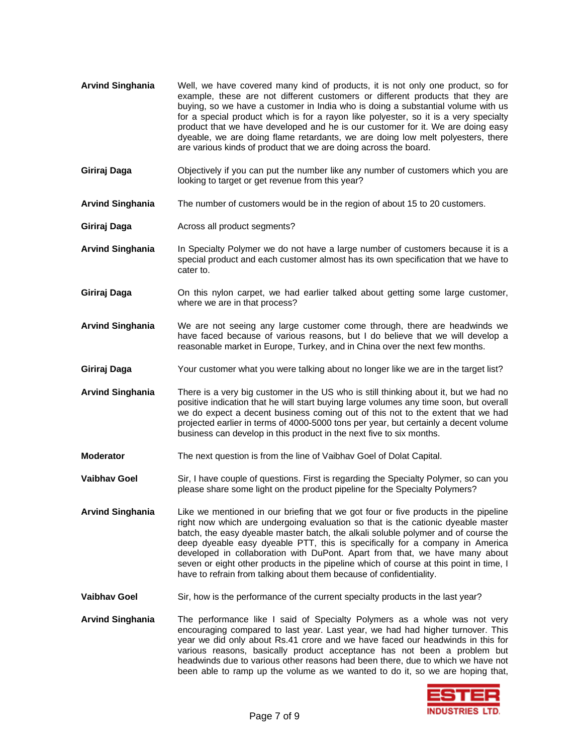- **Arvind Singhania** Well, we have covered many kind of products, it is not only one product, so for example, these are not different customers or different products that they are buying, so we have a customer in India who is doing a substantial volume with us for a special product which is for a rayon like polyester, so it is a very specialty product that we have developed and he is our customer for it. We are doing easy dyeable, we are doing flame retardants, we are doing low melt polyesters, there are various kinds of product that we are doing across the board.
- **Giriraj Daga** Objectively if you can put the number like any number of customers which you are looking to target or get revenue from this year?
- **Arvind Singhania** The number of customers would be in the region of about 15 to 20 customers.
- **Giriraj Daga Across all product segments?**
- **Arvind Singhania** In Specialty Polymer we do not have a large number of customers because it is a special product and each customer almost has its own specification that we have to cater to.
- **Giriraj Daga** On this nylon carpet, we had earlier talked about getting some large customer, where we are in that process?
- **Arvind Singhania** We are not seeing any large customer come through, there are headwinds we have faced because of various reasons, but I do believe that we will develop a reasonable market in Europe, Turkey, and in China over the next few months.
- **Giriraj Daga** Your customer what you were talking about no longer like we are in the target list?
- **Arvind Singhania** There is a very big customer in the US who is still thinking about it, but we had no positive indication that he will start buying large volumes any time soon, but overall we do expect a decent business coming out of this not to the extent that we had projected earlier in terms of 4000-5000 tons per year, but certainly a decent volume business can develop in this product in the next five to six months.
- **Moderator** The next question is from the line of Vaibhav Goel of Dolat Capital.
- **Vaibhav Goel** Sir, I have couple of questions. First is regarding the Specialty Polymer, so can you please share some light on the product pipeline for the Specialty Polymers?
- **Arvind Singhania** Like we mentioned in our briefing that we got four or five products in the pipeline right now which are undergoing evaluation so that is the cationic dyeable master batch, the easy dyeable master batch, the alkali soluble polymer and of course the deep dyeable easy dyeable PTT, this is specifically for a company in America developed in collaboration with DuPont. Apart from that, we have many about seven or eight other products in the pipeline which of course at this point in time, I have to refrain from talking about them because of confidentiality.
- **Vaibhav Goel** Sir, how is the performance of the current specialty products in the last year?
- **Arvind Singhania** The performance like I said of Specialty Polymers as a whole was not very encouraging compared to last year. Last year, we had had higher turnover. This year we did only about Rs.41 crore and we have faced our headwinds in this for various reasons, basically product acceptance has not been a problem but headwinds due to various other reasons had been there, due to which we have not been able to ramp up the volume as we wanted to do it, so we are hoping that,

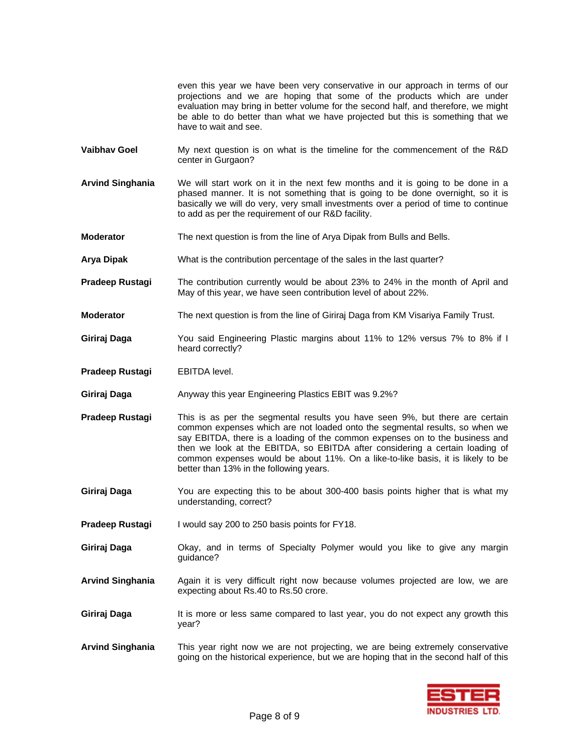even this year we have been very conservative in our approach in terms of our projections and we are hoping that some of the products which are under evaluation may bring in better volume for the second half, and therefore, we might be able to do better than what we have projected but this is something that we have to wait and see.

- **Vaibhav Goel** My next question is on what is the timeline for the commencement of the R&D center in Gurgaon?
- **Arvind Singhania** We will start work on it in the next few months and it is going to be done in a phased manner. It is not something that is going to be done overnight, so it is basically we will do very, very small investments over a period of time to continue to add as per the requirement of our R&D facility.
- **Moderator** The next question is from the line of Arya Dipak from Bulls and Bells.
- **Arya Dipak** What is the contribution percentage of the sales in the last quarter?
- **Pradeep Rustagi** The contribution currently would be about 23% to 24% in the month of April and May of this year, we have seen contribution level of about 22%.
- **Moderator** The next question is from the line of Giriraj Daga from KM Visariya Family Trust.
- **Giriraj Daga** You said Engineering Plastic margins about 11% to 12% versus 7% to 8% if I heard correctly?
- **Pradeep Rustagi EBITDA level.**
- **Giriraj Daga** Anyway this year Engineering Plastics EBIT was 9.2%?
- **Pradeep Rustagi** This is as per the segmental results you have seen 9%, but there are certain common expenses which are not loaded onto the segmental results, so when we say EBITDA, there is a loading of the common expenses on to the business and then we look at the EBITDA, so EBITDA after considering a certain loading of common expenses would be about 11%. On a like-to-like basis, it is likely to be better than 13% in the following years.
- **Giriraj Daga** You are expecting this to be about 300-400 basis points higher that is what my understanding, correct?
- **Pradeep Rustagi** I would say 200 to 250 basis points for FY18.
- **Giriraj Daga** Okay, and in terms of Specialty Polymer would you like to give any margin guidance?
- **Arvind Singhania** Again it is very difficult right now because volumes projected are low, we are expecting about Rs.40 to Rs.50 crore.
- **Giriraj Daga** It is more or less same compared to last year, you do not expect any growth this year?
- **Arvind Singhania** This year right now we are not projecting, we are being extremely conservative going on the historical experience, but we are hoping that in the second half of this